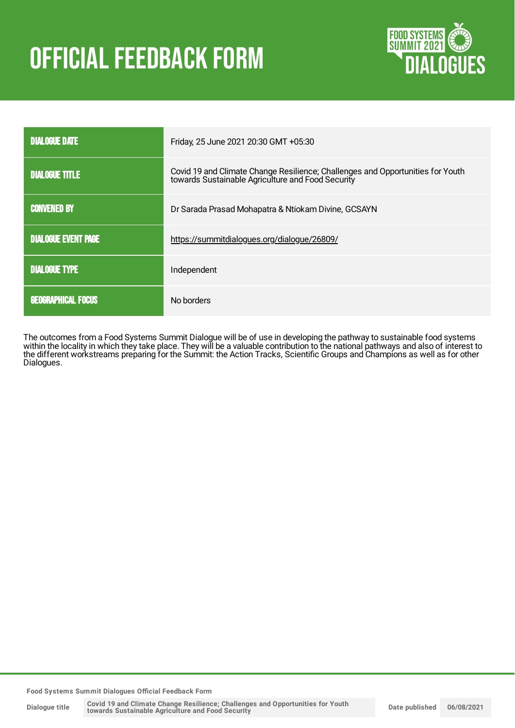# **OFFICIAL FEEDBACK FORM**



| <b>DIALOGUE DATE</b>       | Friday, 25 June 2021 20:30 GMT +05:30                                                                                               |
|----------------------------|-------------------------------------------------------------------------------------------------------------------------------------|
| <b>DIALOGUE TITLE</b>      | Covid 19 and Climate Change Resilience; Challenges and Opportunities for Youth<br>towards Sustainable Agriculture and Food Security |
| <b>CONVENED BY</b>         | Dr Sarada Prasad Mohapatra & Ntiokam Divine, GCSAYN                                                                                 |
| <b>DIALOGUE EVENT PAGE</b> | https://summitdialogues.org/dialogue/26809/                                                                                         |
| <b>DIALOGUE TYPE</b>       | Independent                                                                                                                         |
| <b>GEOGRAPHICAL FOCUS</b>  | No borders                                                                                                                          |

The outcomes from a Food Systems Summit Dialogue will be of use in developing the pathway to sustainable food systems within the locality in which they take place. They will be a valuable contribution to the national pathways and also of interest to the different workstreams preparing for the Summit: the Action Tracks, Scientific Groups and Champions as well as for other Dialogues.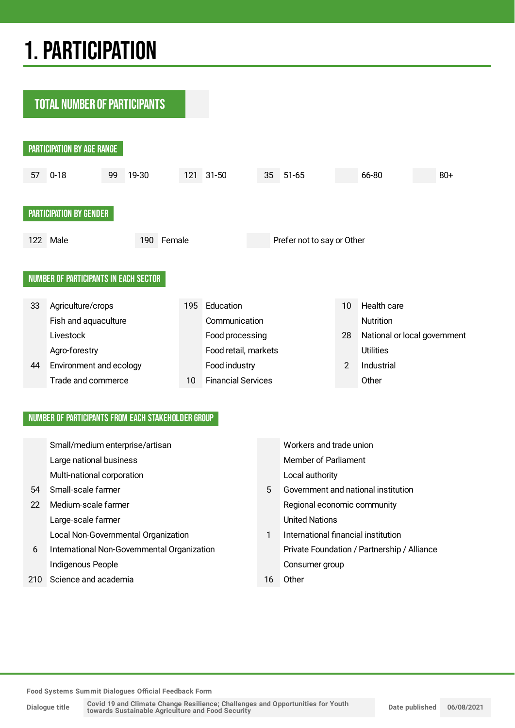## 1.PARTICIPATION

**TOTAL NUMBER OF PARTICIPANTS** 



#### NUMBER OF PARTICIPANTS FROM EACH STAKEHOLDER GROUP

|     | Small/medium enterprise/artisan             |    | Workers and trade union                     |
|-----|---------------------------------------------|----|---------------------------------------------|
|     | Large national business                     |    | Member of Parliament                        |
|     | Multi-national corporation                  |    | Local authority                             |
| 54  | Small-scale farmer                          | 5  | Government and national institution         |
| 22  | Medium-scale farmer                         |    | Regional economic community                 |
|     | Large-scale farmer                          |    | <b>United Nations</b>                       |
|     | Local Non-Governmental Organization         | 1  | International financial institution         |
| 6   | International Non-Governmental Organization |    | Private Foundation / Partnership / Alliance |
|     | Indigenous People                           |    | Consumer group                              |
| 210 | Science and academia                        | 16 | Other                                       |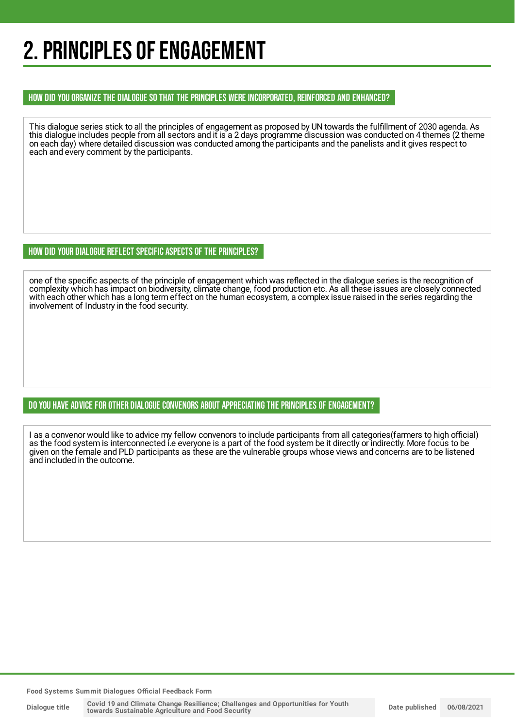## 2. PRINCIPLES OF ENGAGEMENT

#### HOW DID YOU ORGANIZE THE DIALOGUE SO THAT THE PRINCIPLES WERE INCORPORATED, REINFORCED AND ENHANCED?

This dialogue series stick to all the principles of engagement as proposed by UN towards the fulfillment of 2030 agenda. As this dialogue includes people from all sectors and it is a 2 days programme discussion was conducted on 4 themes (2 theme on each day) where detailed discussion was conducted among the participants and the panelists and it gives respect to each and every comment by the participants.

#### HOW DID YOUR DIALOGUE REFLECT SPECIFIC ASPECTS OF THE PRINCIPLES?

one of the specific aspects of the principle of engagement which was reflected in the dialogue series is the recognition of complexity which has impact on biodiversity, climate change, food production etc. As all these issues are closely connected with each other which has a long term effect on the human ecosystem, a complex issue raised in the series regarding the involvement of Industry in the food security.

#### DO YOU HAVE ADVICE FOR OTHER DIALOGUE CONVENORS ABOUT APPRECIATINGTHE PRINCIPLES OF ENGAGEMENT?

I as a convenor would like to advice my fellow convenors to include participants from all categories(farmers to high official) as the food system is interconnected i.e everyone is a part of the food system be it directly or indirectly. More focus to be given on the female and PLD participants as these are the vulnerable groups whose views and concerns are to be listened and included in the outcome.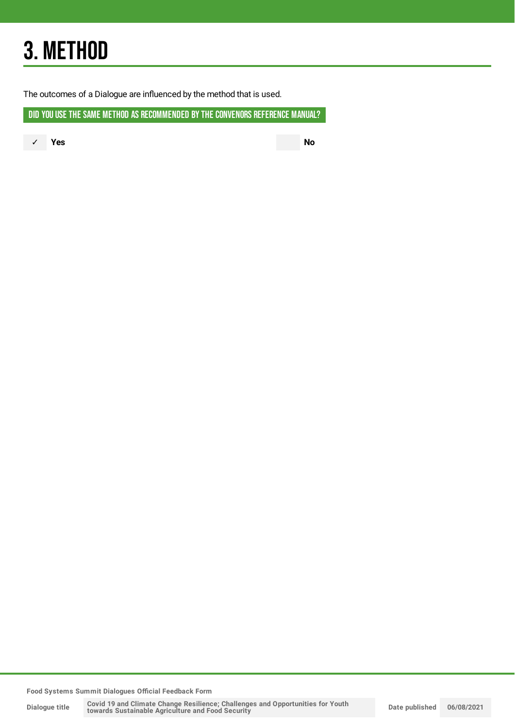## 3. METHOD

The outcomes of a Dialogue are influenced by the method that is used.

DID YOU USE THE SAME METHOD AS RECOMMENDED BY THE CONVENORS REFERENCE MANUAL?

✓ **Yes No**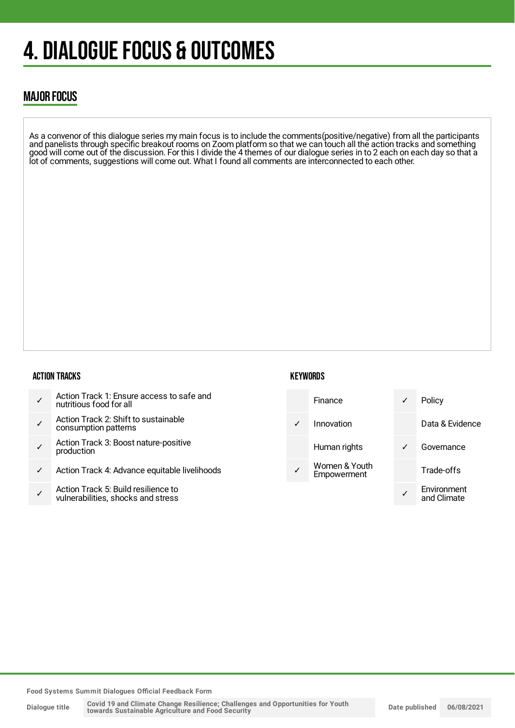## 4. DIALOGUE FOCUS & OUTCOMES

### MAJOR FOCUS

As a convenor of this dialogue series my main focus is to include the comments(positive/negative) from all the participants and panelists through specific breakout rooms on Zoom platform so that we can touch all the action tracks and something good will come out of the discussion. For this I divide the 4 themes of our dialogue series in to 2 each on each day so that a lot of comments, suggestions will come out. What I found all comments are interconnected to each other.

#### ACTION TRACKS

- ✓ Action Track 1: Ensure access to safe and nutritious food for all
- ✓ Action Track 2: Shift to sustainable consumption patterns
- ✓ Action Track 3: Boost nature-positive production
- ✓ Action Track 4: Advance equitable livelihoods
- ✓ Action Track 5: Build resilience to vulnerabilities, shocks and stress

#### **KEYWORDS**



**Food Systems Summit Dialogues Official Feedback Form**

**Dialogue title**

Covid 19 and Climate Change Resilience; Challenges and Opportunities for Youth<br>towards Sustainable Agriculture and Food Security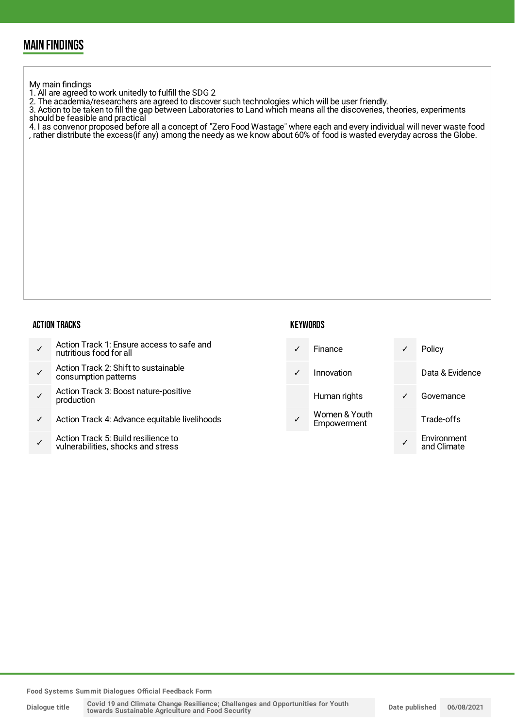### MAIN FINDINGS

My main findings

- 1. All are agreed to work unitedly to fulfill the SDG 2
- 2. The academia/researchers are agreed to discover such technologies which will be user friendly.

3. Action to be taken to fill the gap between Laboratories to Land which means all the discoveries, theories, experiments should be feasible and practical

4. I as convenor proposed before all a concept of "Zero Food Wastage" where each and every individual will never waste food , rather distribute the excess(if any) among the needy as we know about 60% of food is wasted everyday across the Globe.

#### ACTION TRACKS

| Action Track 1: Ensure access to safe and<br>nutritious food for all |  |
|----------------------------------------------------------------------|--|
|----------------------------------------------------------------------|--|

- ✓ Action Track 2: Shift to sustainable consumption patterns
- ✓ Action Track 3: Boost nature-positive production
- Action Track 4: Advance equitable livelihoods
- ✓ Action Track 5: Build resilience to vulnerabilities, shocks and stress

#### **KEYWORDS**

| Finance                      | Policy                     |
|------------------------------|----------------------------|
| Innovation                   | Data & Evidence            |
| Human rights                 | Governance                 |
| Women & Youth<br>Empowerment | Trade-offs                 |
|                              | Environment<br>and Climate |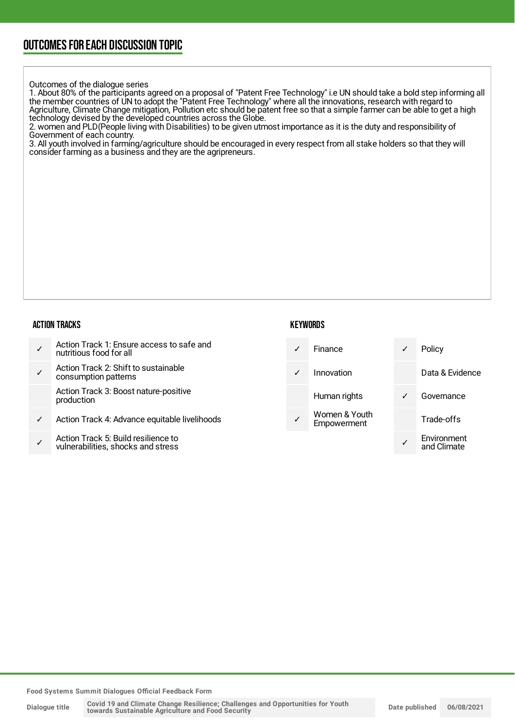#### Outcomes of the dialogue series

1. About 80% of the participants agreed on a proposal of "Patent Free Technology" i.e UN should take a bold step informing all the member countries of UN to adopt the "Patent Free Technology" where all the innovations, research with regard to Agriculture, Climate Change mitigation, Pollution etc should be patent free so that a simple farmer can be able to get a high technology devised by the developed countries across the Globe.

2. women and PLD(People living with Disabilities) to be given utmost importance as it is the duty and responsibility of Government of each country.

3. All youth involved in farming/agriculture should be encouraged in every respect from all stake holders so that they will consider farming as a business and they are the agripreneurs.

#### ACTION TRACKS

| Action Track 1: Ensure access to safe and<br>nutritious food for all |
|----------------------------------------------------------------------|
|----------------------------------------------------------------------|

✓ Action Track 2: Shift to sustainable consumption patterns

Action Track 3: Boost nature-positive production

- Action Track 4: Advance equitable livelihoods
- ✓ Action Track 5: Build resilience to vulnerabilities, shocks and stress

### **KEYWORDS**

|   | Finance                      | Policy                     |
|---|------------------------------|----------------------------|
| ✓ | Innovation                   | Data & Evidence            |
|   | Human rights                 | Governance                 |
|   | Women & Youth<br>Empowerment | Trade-offs                 |
|   |                              | Environment<br>and Climate |